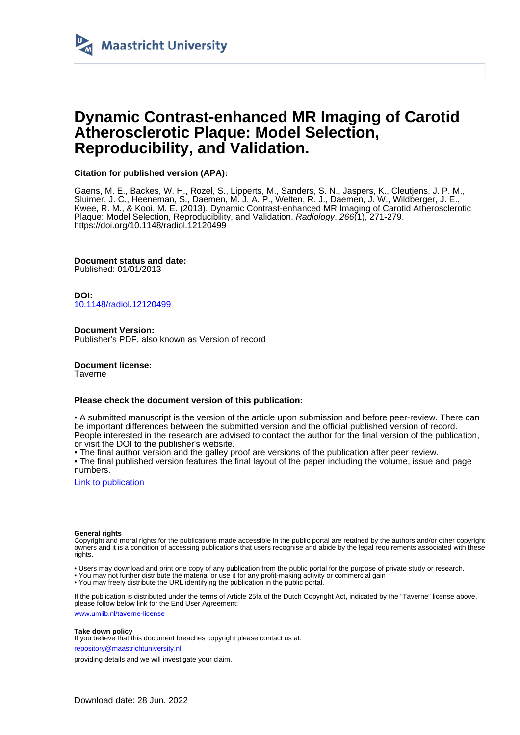

# **Dynamic Contrast-enhanced MR Imaging of Carotid Atherosclerotic Plaque: Model Selection, Reproducibility, and Validation.**

# **Citation for published version (APA):**

Gaens, M. E., Backes, W. H., Rozel, S., Lipperts, M., Sanders, S. N., Jaspers, K., Cleutjens, J. P. M., Sluimer, J. C., Heeneman, S., Daemen, M. J. A. P., Welten, R. J., Daemen, J. W., Wildberger, J. E., Kwee, R. M., & Kooi, M. E. (2013). Dynamic Contrast-enhanced MR Imaging of Carotid Atherosclerotic Plaque: Model Selection, Reproducibility, and Validation. Radiology, 266(1), 271-279. <https://doi.org/10.1148/radiol.12120499>

**Document status and date:**

Published: 01/01/2013

**DOI:** [10.1148/radiol.12120499](https://doi.org/10.1148/radiol.12120499)

**Document Version:** Publisher's PDF, also known as Version of record

**Document license:** Taverne

# **Please check the document version of this publication:**

• A submitted manuscript is the version of the article upon submission and before peer-review. There can be important differences between the submitted version and the official published version of record. People interested in the research are advised to contact the author for the final version of the publication, or visit the DOI to the publisher's website.

• The final author version and the galley proof are versions of the publication after peer review.

• The final published version features the final layout of the paper including the volume, issue and page numbers.

[Link to publication](https://cris.maastrichtuniversity.nl/en/publications/daf04be7-2cb1-4bd3-8d8c-74721c546865)

# **General rights**

Copyright and moral rights for the publications made accessible in the public portal are retained by the authors and/or other copyright owners and it is a condition of accessing publications that users recognise and abide by the legal requirements associated with these rights.

• Users may download and print one copy of any publication from the public portal for the purpose of private study or research.

• You may not further distribute the material or use it for any profit-making activity or commercial gain

• You may freely distribute the URL identifying the publication in the public portal

If the publication is distributed under the terms of Article 25fa of the Dutch Copyright Act, indicated by the "Taverne" license above, please follow below link for the End User Agreement:

www.umlib.nl/taverne-license

# **Take down policy**

If you believe that this document breaches copyright please contact us at:

repository@maastrichtuniversity.nl

providing details and we will investigate your claim.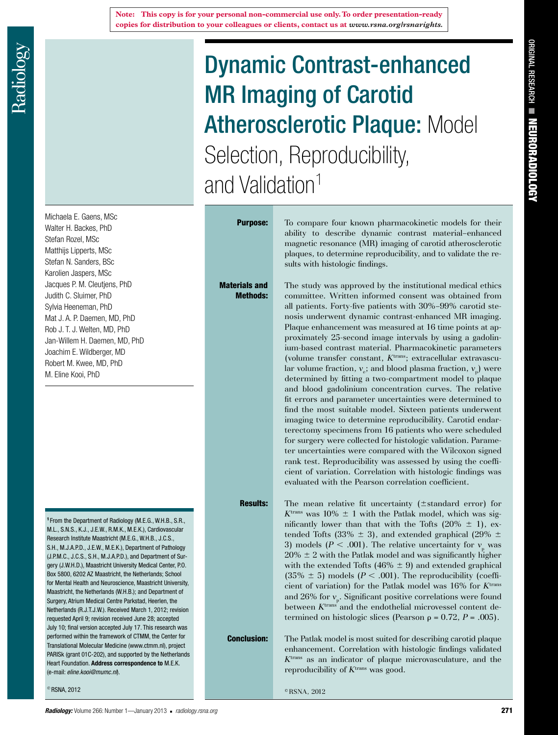Michaela E. Gaens, MSc Walter H. Backes, PhD Stefan Rozel, MSc Matthijs Lipperts, MSc Stefan N. Sanders, BSc Karolien Jaspers, MSc Jacques P. M. Cleutjens, PhD Judith C. Sluimer, PhD Sylvia Heeneman, PhD Mat J. A. P. Daemen, MD, PhD Rob J. T. J. Welten, MD, PhD Jan-Willem H. Daemen, MD, PhD Joachim E. Wildberger, MD Robert M. Kwee, MD, PhD M. Eline Kooi, PhD

<sup>1</sup> From the Department of Radiology (M.E.G., W.H.B., S.R., M.L., S.N.S., K.J., J.E.W., R.M.K., M.E.K.), Cardiovascular Research Institute Maastricht (M.E.G., W.H.B., J.C.S., S.H., M.J.A.P.D., J.E.W., M.E.K.), Department of Pathology (J.P.M.C., J.C.S., S.H., M.J.A.P.D.), and Department of Surgery (J.W.H.D.), Maastricht University Medical Center, P.O. Box 5800, 6202 AZ Maastricht, the Netherlands; School for Mental Health and Neuroscience, Maastricht University, Maastricht, the Netherlands (W.H.B.); and Department of Surgery, Atrium Medical Centre Parkstad, Heerlen, the Netherlands (R.J.T.J.W.). Received March 1, 2012; revision requested April 9; revision received June 28; accepted July 10; final version accepted July 17. This research was performed within the framework of CTMM, the Center for Translational Molecular Medicine (www.ctmm.nl), project PARISk (grant 01C-202), and supported by the Netherlands Heart Foundation. **Address correspondence to** M.E.K. (e-mail: *eline.kooi@mumc.nl*).

© RSNA, 2012

# Dynamic Contrast-enhanced MR Imaging of Carotid **Atherosclerotic Plaque: Model** Selection, Reproducibility, and Validation<sup>1</sup>

Materials and Methods:

**Purpose:** To compare four known pharmacokinetic models for their ability to describe dynamic contrast material–enhanced magnetic resonance (MR) imaging of carotid atherosclerotic plaques, to determine reproducibility, and to validate the results with histologic findings.

> The study was approved by the institutional medical ethics committee. Written informed consent was obtained from all patients. Forty-five patients with 30%–99% carotid stenosis underwent dynamic contrast-enhanced MR imaging. Plaque enhancement was measured at 16 time points at approximately 25-second image intervals by using a gadolinium-based contrast material. Pharmacokinetic parameters (volume transfer constant, *K*trans; extracellular extravascular volume fraction,  $v_e$ ; and blood plasma fraction,  $v_p$ ) were determined by fitting a two-compartment model to plaque and blood gadolinium concentration curves. The relative fit errors and parameter uncertainties were determined to find the most suitable model. Sixteen patients underwent imaging twice to determine reproducibility. Carotid endarterectomy specimens from 16 patients who were scheduled for surgery were collected for histologic validation. Parameter uncertainties were compared with the Wilcoxon signed rank test. Reproducibility was assessed by using the coefficient of variation. Correlation with histologic findings was evaluated with the Pearson correlation coefficient.

**Results:** The mean relative fit uncertainty  $(\pm$ standard error) for  $K<sup>trans</sup>$  was 10%  $\pm$  1 with the Patlak model, which was significantly lower than that with the Tofts  $(20\% \pm 1)$ , extended Tofts (33%  $\pm$  3), and extended graphical (29%  $\pm$ 3) models ( $P < .001$ ). The relative uncertainty for  $v_p$  was  $20\% \pm 2$  with the Patlak model and was significantly higher with the extended Tofts (46%  $\pm$  9) and extended graphical  $(35\% \pm 5)$  models  $(P < .001)$ . The reproducibility (coefficient of variation) for the Patlak model was 16% for *K*trans and 26% for  $v_{\rm p}$ . Significant positive correlations were found between  $K^{\text{trans}}$  and the endothelial microvessel content determined on histologic slices (Pearson  $\rho = 0.72$ ,  $P = .005$ ).

**Conclusion:** The Patlak model is most suited for describing carotid plaque enhancement. Correlation with histologic findings validated *K*trans as an indicator of plaque microvasculature, and the reproducibility of *K*trans was good.

 $\textcirc$  RSNA 2012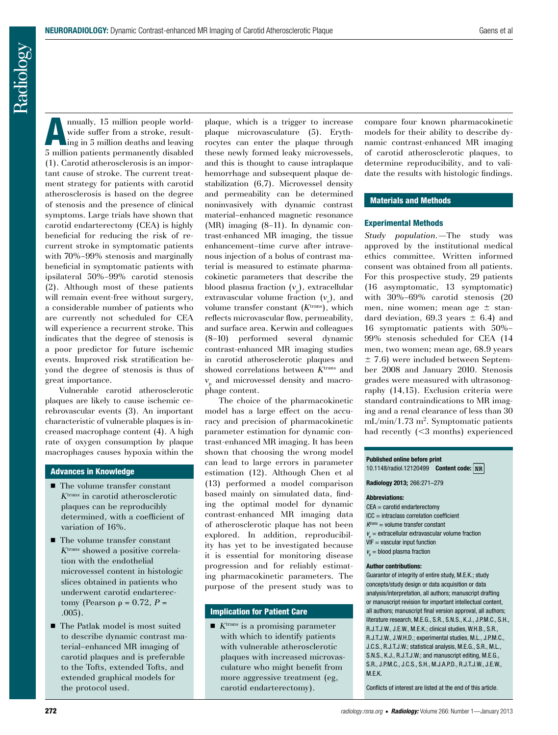Radiology

nnually, 15 million people worldwide suffer from a stroke, resulting in 5 million deaths and leaving 5 million patients permanently disabled (1). Carotid atherosclerosis is an important cause of stroke. The current treatment strategy for patients with carotid atherosclerosis is based on the degree of stenosis and the presence of clinical symptoms. Large trials have shown that carotid endarterectomy (CEA) is highly beneficial for reducing the risk of recurrent stroke in symptomatic patients with 70%–99% stenosis and marginally beneficial in symptomatic patients with ipsilateral 50%–99% carotid stenosis (2). Although most of these patients will remain event-free without surgery, a considerable number of patients who are currently not scheduled for CEA will experience a recurrent stroke. This indicates that the degree of stenosis is a poor predictor for future ischemic events. Improved risk stratification beyond the degree of stenosis is thus of great importance.

Vulnerable carotid atherosclerotic plaques are likely to cause ischemic cerebrovascular events (3). An important characteristic of vulnerable plaques is increased macrophage content (4). A high rate of oxygen consumption by plaque macrophages causes hypoxia within the

# Advances in Knowledge

- $\blacksquare$  The volume transfer constant *K*tran*<sup>s</sup>* in carotid atherosclerotic plaques can be reproducibly determined, with a coefficient of variation of 16%.
- $\blacksquare$  <br> The volume transfer constant *K*trans showed a positive correlation with the endothelial microvessel content in histologic slices obtained in patients who underwent carotid endarterectomy (Pearson  $\rho = 0.72$ ,  $P =$ .005).
- The Patlak model is most suited to describe dynamic contrast material–enhanced MR imaging of carotid plaques and is preferable to the Tofts, extended Tofts, and extended graphical models for the protocol used.

plaque, which is a trigger to increase plaque microvasculature (5). Erythrocytes can enter the plaque through these newly formed leaky microvessels, and this is thought to cause intraplaque hemorrhage and subsequent plaque destabilization (6,7). Microvessel density and permeability can be determined noninvasively with dynamic contrast material–enhanced magnetic resonance (MR) imaging (8–11). In dynamic contrast-enhanced MR imaging, the tissue enhancement–time curve after intravenous injection of a bolus of contrast material is measured to estimate pharmacokinetic parameters that describe the blood plasma fraction  $(v_p)$ , extracellular extravascular volume fraction  $(v_e)$ , and volume transfer constant (*K*trans), which reflects microvascular flow, permeability, and surface area. Kerwin and colleagues (8–10) performed several dynamic contrast-enhanced MR imaging studies in carotid atherosclerotic plaques and showed correlations between *K*trans and *v*p and microvessel density and macrophage content.

The choice of the pharmacokinetic model has a large effect on the accuracy and precision of pharmacokinetic parameter estimation for dynamic contrast-enhanced MR imaging. It has been shown that choosing the wrong model can lead to large errors in parameter estimation (12). Although Chen et al (13) performed a model comparison based mainly on simulated data, finding the optimal model for dynamic contrast-enhanced MR imaging data of atherosclerotic plaque has not been explored. In addition, reproducibility has yet to be investigated because it is essential for monitoring disease progression and for reliably estimating pharmacokinetic parameters. The purpose of the present study was to

# Implication for Patient Care

 $\blacksquare$  *K*<sup>trans</sup> is a promising parameter with which to identify patients with vulnerable atherosclerotic plaques with increased microvasculature who might benefit from more aggressive treatment (eg, carotid endarterectomy).

compare four known pharmacokinetic models for their ability to describe dynamic contrast-enhanced MR imaging of carotid atherosclerotic plaques, to determine reproducibility, and to validate the results with histologic findings.

# Materials and Methods

# Experimental Methods

*Study population.—*The study was approved by the institutional medical ethics committee. Written informed consent was obtained from all patients. For this prospective study, 29 patients (16 asymptomatic, 13 symptomatic) with 30%–69% carotid stenosis (20 men, nine women; mean age  $\pm$  standard deviation, 69.3 years  $\pm$  6.4) and 16 symptomatic patients with 50%– 99% stenosis scheduled for CEA (14 men, two women; mean age, 68.9 years  $\pm$  7.6) were included between September 2008 and January 2010. Stenosis grades were measured with ultrasonography (14,15). Exclusion criteria were standard contraindications to MR imaging and a renal clearance of less than 30  $mL/min/1.73 m<sup>2</sup>$ . Symptomatic patients had recently  $( $3 \text{ months}$ ) experienced$ 

**Published online before print**

10.1148/radiol.12120499 **Content code:**

**Radiology 2013;** 266:271–279

#### **Abbreviations:**

- CEA = carotid endarterectomy
- $ICC =$  intraclass correlation coefficient
- *K*trans = volume transfer constant
- $v_{\rm e}$  = extracellular extravascular volume fraction
- $VIF = vascular input function$
- $v_{\rm p}$  = blood plasma fraction

#### **Author contributions:**

Guarantor of integrity of entire study, M.E.K.; study concepts/study design or data acquisition or data analysis/interpretation, all authors; manuscript drafting or manuscript revision for important intellectual content, all authors; manuscript final version approval, all authors; literature research, M.E.G., S.R., S.N.S., K.J., J.P.M.C., S.H., R.J.T.J.W., J.E.W., M.E.K.; clinical studies, W.H.B., S.R., R.J.T.J.W., J.W.H.D.; experimental studies, M.L., J.P.M.C., J.C.S., R.J.T.J.W.; statistical analysis, M.E.G., S.R., M.L., S.N.S., K.J., R.J.T.J.W.; and manuscript editing, M.E.G., S.R., J.P.M.C., J.C.S., S.H., M.J.A.P.D., R.J.T.J.W., J.E.W., M.E.K.

Conflicts of interest are listed at the end of this article.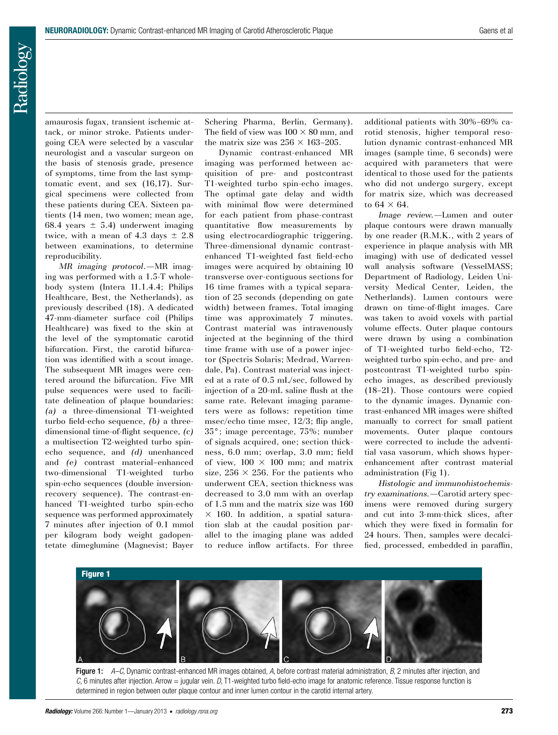Radiology

amaurosis fugax, transient ischemic attack, or minor stroke. Patients undergoing CEA were selected by a vascular neurologist and a vascular surgeon on the basis of stenosis grade, presence of symptoms, time from the last symptomatic event, and sex (16,17). Surgical specimens were collected from these patients during CEA. Sixteen patients (14 men, two women; mean age, 68.4 years  $\pm$  5.4) underwent imaging twice, with a mean of 4.3 days  $\pm$  2.8 between examinations, to determine reproducibility.

*MR imaging protocol.—*MR imaging was performed with a 1.5-T wholebody system (Intera 11.1.4.4; Philips Healthcare, Best, the Netherlands), as previously described (18). A dedicated 47-mm-diameter surface coil (Philips Healthcare) was fixed to the skin at the level of the symptomatic carotid bifurcation. First, the carotid bifurcation was identified with a scout image. The subsequent MR images were centered around the bifurcation. Five MR pulse sequences were used to facilitate delineation of plaque boundaries: *(a)* a three-dimensional T1-weighted turbo field-echo sequence, *(b)* a threedimensional time-of-flight sequence, *(c)* a multisection T2-weighted turbo spinecho sequence, and *(d)* unenhanced and *(e)* contrast material–enhanced two-dimensional T1-weighted turbo spin-echo sequences (double inversionrecovery sequence). The contrast-enhanced T1-weighted turbo spin-echo sequence was performed approximately 7 minutes after injection of 0.1 mmol per kilogram body weight gadopentetate dimeglumine (Magnevist; Bayer Schering Pharma, Berlin, Germany). The field of view was  $100 \times 80$  mm, and the matrix size was  $256 \times 163$ –205.

Dynamic contrast-enhanced MR imaging was performed between acquisition of pre- and postcontrast T1-weighted turbo spin-echo images. The optimal gate delay and width with minimal flow were determined for each patient from phase-contrast quantitative flow measurements by using electrocardiographic triggering. Three-dimensional dynamic contrastenhanced T1-weighted fast field-echo images were acquired by obtaining 10 transverse over-contiguous sections for 16 time frames with a typical separation of 25 seconds (depending on gate width) between frames. Total imaging time was approximately 7 minutes. Contrast material was intravenously injected at the beginning of the third time frame with use of a power injector (Spectris Solaris; Medrad, Warrendale, Pa). Contrast material was injected at a rate of 0.5 mL/sec, followed by injection of a 20-mL saline flush at the same rate. Relevant imaging parameters were as follows: repetition time msec/echo time msec, 12/3; flip angle, 35°; image percentage, 75%; number of signals acquired, one; section thickness, 6.0 mm; overlap, 3.0 mm; field of view,  $100 \times 100$  mm; and matrix size,  $256 \times 256$ . For the patients who underwent CEA, section thickness was decreased to 3.0 mm with an overlap of 1.5 mm and the matrix size was 160  $\times$  160. In addition, a spatial saturation slab at the caudal position parallel to the imaging plane was added to reduce inflow artifacts. For three additional patients with 30%–69% carotid stenosis, higher temporal resolution dynamic contrast-enhanced MR images (sample time, 6 seconds) were acquired with parameters that were identical to those used for the patients who did not undergo surgery, except for matrix size, which was decreased to  $64 \times 64$ .

*Image review.—*Lumen and outer plaque contours were drawn manually by one reader (R.M.K., with 2 years of experience in plaque analysis with MR imaging) with use of dedicated vessel wall analysis software (VesselMASS; Department of Radiology, Leiden University Medical Center, Leiden, the Netherlands). Lumen contours were drawn on time-of-flight images. Care was taken to avoid voxels with partial volume effects. Outer plaque contours were drawn by using a combination of T1-weighted turbo field-echo, T2 weighted turbo spin-echo, and pre- and postcontrast T1-weighted turbo spinecho images, as described previously (18–21). Those contours were copied to the dynamic images. Dynamic contrast-enhanced MR images were shifted manually to correct for small patient movements. Outer plaque contours were corrected to include the adventitial vasa vasorum, which shows hyperenhancement after contrast material administration (Fig 1).

*Histologic and immunohistochemistry examinations.—*Carotid artery specimens were removed during surgery and cut into 3-mm-thick slices, after which they were fixed in formalin for 24 hours. Then, samples were decalcified, processed, embedded in paraffin,



Figure 1: *A–C*, Dynamic contrast-enhanced MR images obtained, *A*, before contrast material administration, *B*, 2 minutes after injection, and *C*, 6 minutes after injection. Arrow = jugular vein. *D*, T1-weighted turbo field-echo image for anatomic reference. Tissue response function is determined in region between outer plaque contour and inner lumen contour in the carotid internal artery.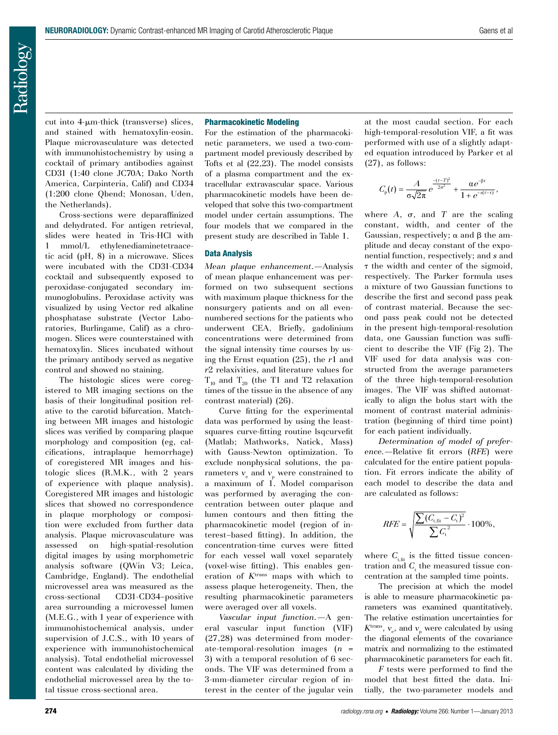cut into 4-µm-thick (transverse) slices, and stained with hematoxylin-eosin. Plaque microvasculature was detected with immunohistochemistry by using a cocktail of primary antibodies against CD31 (1:40 clone JC70A; Dako North America, Carpinteria, Calif) and CD34 (1:200 clone Qbend; Monosan, Uden, the Netherlands).

Cross-sections were deparaffinized and dehydrated. For antigen retrieval, slides were heated in Tris-HCl with 1 mmol/L ethylenediaminetetraacetic acid (pH, 8) in a microwave. Slices were incubated with the CD31-CD34 cocktail and subsequently exposed to peroxidase-conjugated secondary immunoglobulins. Peroxidase activity was visualized by using Vector red alkaline phosphatase substrate (Vector Laboratories, Burlingame, Calif) as a chromogen. Slices were counterstained with hematoxylin. Slices incubated without the primary antibody served as negative control and showed no staining.

The histologic slices were coregistered to MR imaging sections on the basis of their longitudinal position relative to the carotid bifurcation. Matching between MR images and histologic slices was verified by comparing plaque morphology and composition (eg, calcifications, intraplaque hemorrhage) of coregistered MR images and histologic slices (R.M.K., with 2 years of experience with plaque analysis). Coregistered MR images and histologic slices that showed no correspondence in plaque morphology or composition were excluded from further data analysis. Plaque microvasculature was assessed on high-spatial-resolution digital images by using morphometric analysis software (QWin V3; Leica, Cambridge, England). The endothelial microvessel area was measured as the cross-sectional CD31-CD34–positive area surrounding a microvessel lumen (M.E.G., with 1 year of experience with immunohistochemical analysis, under supervision of J.C.S., with 10 years of experience with immunohistochemical analysis). Total endothelial microvessel content was calculated by dividing the endothelial microvessel area by the total tissue cross-sectional area.

# Pharmacokinetic Modeling

For the estimation of the pharmacokinetic parameters, we used a two-compartment model previously described by Tofts et al (22,23). The model consists of a plasma compartment and the extracellular extravascular space. Various pharmacokinetic models have been developed that solve this two-compartment model under certain assumptions. The four models that we compared in the present study are described in Table 1.

# Data Analysis

*Mean plaque enhancement.—*Analysis of mean plaque enhancement was performed on two subsequent sections with maximum plaque thickness for the nonsurgery patients and on all evennumbered sections for the patients who underwent CEA. Briefly, gadolinium concentrations were determined from the signal intensity time courses by using the Ernst equation (25), the *r*1 and *r*2 relaxivities, and literature values for  $T_{10}$  and  $T_{20}$  (the T1 and T2 relaxation times of the tissue in the absence of any contrast material) (26).

Curve fitting for the experimental data was performed by using the leastsquares curve-fitting routine lsqcurvefit (Matlab; Mathworks, Natick, Mass) with Gauss-Newton optimization. To exclude nonphysical solutions, the parameters  $v_{\rm e}$  and  $v_{\rm p}$  were constrained to a maximum of 1. Model comparison was performed by averaging the concentration between outer plaque and lumen contours and then fitting the pharmacokinetic model (region of interest–based fitting). In addition, the concentration-time curves were fitted for each vessel wall voxel separately (voxel-wise fitting). This enables generation of *K*trans maps with which to assess plaque heterogeneity. Then, the resulting pharmacokinetic parameters were averaged over all voxels.

*Vascular input function.—*A general vascular input function (VIF) (27,28) was determined from moderate-temporal-resolution images (*n* = 3) with a temporal resolution of 6 seconds. The VIF was determined from a 3-mm-diameter circular region of interest in the center of the jugular vein at the most caudal section. For each high-temporal-resolution VIF, a fit was performed with use of a slightly adapted equation introduced by Parker et al (27), as follows:

$$
C_{\rm p}(t) = \frac{A}{\sigma\sqrt{2\pi}}e^{\frac{-(t-T)^2}{2\sigma^2}} + \frac{\alpha e^{-\beta t}}{1 + e^{-s(t-\tau)}},
$$

where  $A$ ,  $\sigma$ , and  $T$  are the scaling constant, width, and center of the Gaussian, respectively;  $\alpha$  and  $\beta$  the amplitude and decay constant of the exponential function, respectively; and *s* and  $\tau$  the width and center of the sigmoid, respectively. The Parker formula uses a mixture of two Gaussian functions to describe the first and second pass peak of contrast material. Because the second pass peak could not be detected in the present high-temporal-resolution data, one Gaussian function was sufficient to describe the VIF (Fig 2). The VIF used for data analysis was constructed from the average parameters of the three high-temporal-resolution images. The VIF was shifted automatically to align the bolus start with the moment of contrast material administration (beginning of third time point) for each patient individually.

*Determination of model of preference.—*Relative fit errors (*RFE*) were calculated for the entire patient population. Fit errors indicate the ability of each model to describe the data and are calculated as follows:

$$
RFE = \sqrt{\frac{\sum (C_{\rm t, fit} - C_{\rm t})^2}{\sum C_{\rm t}^2}} \cdot 100\%,
$$

where  $C_{\text{t,fit}}$  is the fitted tissue concentration and  $C_{\text{t}}$  the measured tissue concentration at the sampled time points.

The precision at which the model is able to measure pharmacokinetic parameters was examined quantitatively. The relative estimation uncertainties for  $K<sup>trans</sup>$ ,  $v<sub>e</sub>$ , and  $v<sub>p</sub>$  were calculated by using the diagonal elements of the covariance matrix and normalizing to the estimated pharmacokinetic parameters for each fit.

*F* tests were performed to find the model that best fitted the data. Initially, the two-parameter models and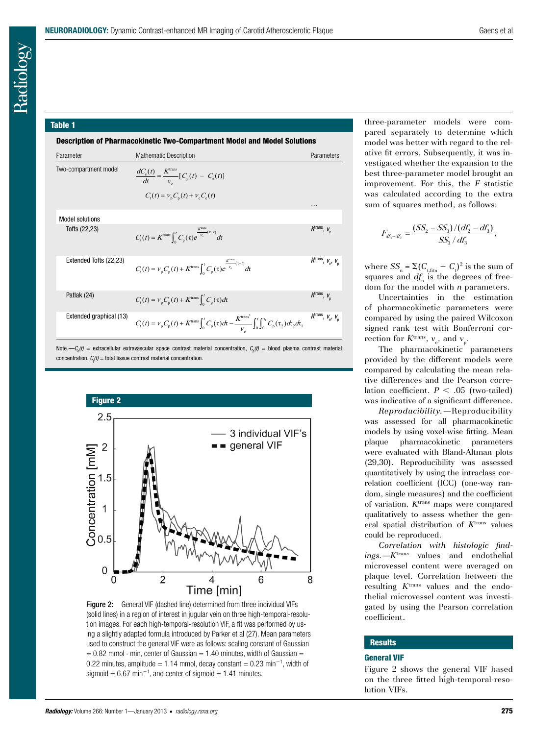#### Table 1

Description of Pharmacokinetic Two-Compartment Model and Model Solutions

| Parameter               | <b>Mathematic Description</b>                                                                                                                                                       | Parameters                                     |
|-------------------------|-------------------------------------------------------------------------------------------------------------------------------------------------------------------------------------|------------------------------------------------|
| Two-compartment model   | $\frac{dC_{e}(t)}{dt} = \frac{K^{\text{trans}}}{V_{e}} [C_{p}(t) - C_{e}(t)]$<br>$C_{\rm t}(t) = V_{\rm p} C_{\rm p}(t) + V_{\rm e} C_{\rm e}(t)$                                   |                                                |
|                         |                                                                                                                                                                                     | .                                              |
| <b>Model solutions</b>  |                                                                                                                                                                                     |                                                |
| Tofts (22,23)           | $C_{\rm t}(t) = K^{\rm trans} \int_0^t C_{\rm p}(\tau) e^{\frac{\Lambda}{V_{\rm e}}(\tau-t)} dt$                                                                                    | K <sup>trans</sup> , V <sub>e</sub>            |
| Extended Tofts (22,23)  | $C_{\rm t}(t) = V_{\rm p} C_{\rm p}(t) + K^{\rm trans} \int_{0}^{t} C_{\rm p}(\tau) e^{\frac{K^{\rm com}}{V_{\rm e}}(\tau-t)} d\tau$                                                | $K^{\text{trans}}, V_{\text{e}}, V_{\text{p}}$ |
| Patlak (24)             | $C_{t}(t) = V_{p} C_{p}(t) + K^{\text{trans}} \int_{0}^{t} C_{p}(\tau) d\tau$                                                                                                       | K <sup>trans</sup> , V <sub>n</sub>            |
| Extended graphical (13) | $C_{\rm t}(t) = V_{\rm p} C_{\rm p}(t) + K^{\rm trans} \int_0^t C_{\rm p}(\tau) d\tau - \frac{K^{\rm trans^2}}{V} \int_0^t \int_0^{\tau_{\rm i}} C_{\rm p}(\tau_2) d\tau_2 d\tau_1$ | K <sup>trans</sup> , $V_e$ , $V_p$             |

Note.— $\mathcal{C}_{_{\!o}}\!(t)$  = extracellular extravascular space contrast material concentration,  $\mathcal{C}_{_{\!o}}\!(t)$  = blood plasma contrast material  $concentration, C<sub>t</sub>(t) = total tissue contrast material concentration.$ 



Figure 2: General VIF (dashed line) determined from three individual VIFs (solid lines) in a region of interest in jugular vein on three high-temporal-resolution images. For each high-temporal-resolution VIF, a fit was performed by using a slightly adapted formula introduced by Parker et al (27). Mean parameters used to construct the general VIF were as follows: scaling constant of Gaussian  $= 0.82$  mmol  $\cdot$  min, center of Gaussian = 1.40 minutes, width of Gaussian = 0.22 minutes, amplitude = 1.14 mmol, decay constant = 0.23 min<sup>-1</sup>, width of sigmoid =  $6.67$  min<sup>-1</sup>, and center of sigmoid =  $1.41$  minutes.

three-parameter models were compared separately to determine which model was better with regard to the relative fit errors. Subsequently, it was investigated whether the expansion to the best three-parameter model brought an improvement. For this, the *F* statistic was calculated according to the extra sum of squares method, as follows:

$$
F_{df_3 - df_2} = \frac{(SS_2 - SS_3)/(df_2 - df_3)}{SS_3 / df_3},
$$

where  $SS_n = \Sigma (C_{t,\text{fitn}} - C_t)^2$  is the sum of squares and  $df$ <sub>n</sub> is the degrees of freedom for the model with *n* parameters.

Uncertainties in the estimation of pharmacokinetic parameters were compared by using the paired Wilcoxon signed rank test with Bonferroni correction for  $K^{\text{trans}}$ ,  $v_e$ , and  $v_p$ .

The pharmacokinetic parameters provided by the different models were compared by calculating the mean relative differences and the Pearson correlation coefficient.  $P < .05$  (two-tailed) was indicative of a significant difference.

*Reproducibility.—*Reproducibility was assessed for all pharmacokinetic models by using voxel-wise fitting. Mean plaque pharmacokinetic parameters were evaluated with Bland-Altman plots (29,30). Reproducibility was assessed quantitatively by using the intraclass correlation coefficient (ICC) (one-way random, single measures) and the coefficient of variation. *K*trans maps were compared qualitatively to assess whether the general spatial distribution of  $K<sup>trans</sup>$  values could be reproduced.

*Correlation with histologic findings.—K*tran*<sup>s</sup>* values and endothelial microvessel content were averaged on plaque level. Correlation between the resulting *K*trans values and the endothelial microvessel content was investigated by using the Pearson correlation coefficient.

#### **Results**

#### General VIF

Figure 2 shows the general VIF based on the three fitted high-temporal-resolution VIFs.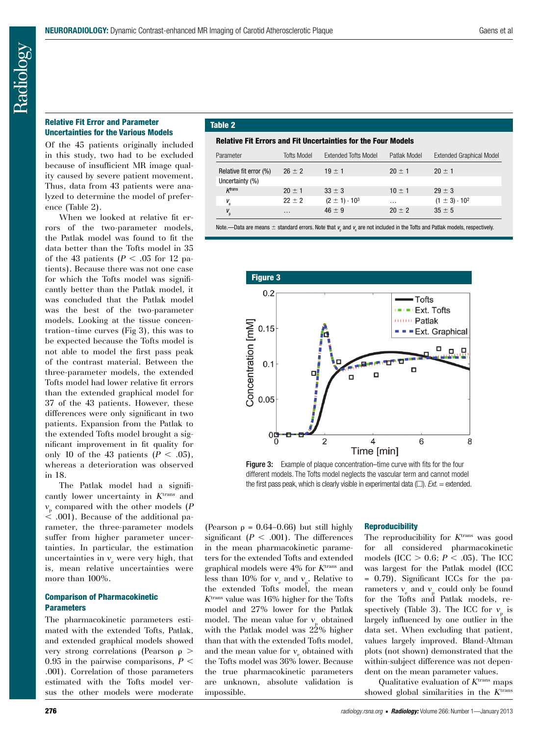# Relative Fit Error and Parameter Uncertainties for the Various Models

Of the 45 patients originally included in this study, two had to be excluded because of insufficient MR image quality caused by severe patient movement. Thus, data from 43 patients were analyzed to determine the model of preference (Table 2).

When we looked at relative fit errors of the two-parameter models, the Patlak model was found to fit the data better than the Tofts model in 35 of the 43 patients ( $P < .05$  for 12 patients). Because there was not one case for which the Tofts model was significantly better than the Patlak model, it was concluded that the Patlak model was the best of the two-parameter models. Looking at the tissue concentration–time curves (Fig 3), this was to be expected because the Tofts model is not able to model the first pass peak of the contrast material. Between the three-parameter models, the extended Tofts model had lower relative fit errors than the extended graphical model for 37 of the 43 patients. However, these differences were only significant in two patients. Expansion from the Patlak to the extended Tofts model brought a significant improvement in fit quality for only 10 of the 43 patients  $(P < .05)$ , whereas a deterioration was observed in 18.

The Patlak model had a significantly lower uncertainty in K<sup>trans</sup> and *v*p compared with the other models (*P*  $\dot{\le}$  .001). Because of the additional parameter, the three-parameter models suffer from higher parameter uncertainties. In particular, the estimation uncertainties in  $v_{\rm e}$  were very high, that is, mean relative uncertainties were more than 100%.

# Comparison of Pharmacokinetic **Parameters**

The pharmacokinetic parameters estimated with the extended Tofts, Patlak, and extended graphical models showed very strong correlations (Pearson  $\rho$  > 0.95 in the pairwise comparisons,  $P \leq$ .001). Correlation of those parameters estimated with the Tofts model versus the other models were moderate

# Table 2

# Relative Fit Errors and Fit Uncertainties for the Four Models

| Parameter              | <b>Tofts Model</b> | Extended Tofts Model     | Patlak Model | <b>Extended Graphical Model</b> |
|------------------------|--------------------|--------------------------|--------------|---------------------------------|
| Relative fit error (%) | $26 \pm 2$         | $19 \pm 1$               | $20 \pm 1$   | $20 \pm 1$                      |
| Uncertainty (%)        |                    |                          |              |                                 |
| Ktrans                 | $20 \pm 1$         | $33 \pm 3$               | $10 \pm 1$   | $29 \pm 3$                      |
| $V_e$                  | $22 \pm 2$         | $(2 \pm 1) \cdot 10^{3}$ | $\cdots$     | $(1 \pm 3) \cdot 10^{2}$        |
| $V_{\rm p}$            | $\cdots$           | $46 \pm 9$               | $20 + 2$     | $35 \pm 5$                      |

Note.—Data are means  $\pm$  standard errors. Note that  $\sf v_{\rm p}$  and  $\sf v_{\rm e}$  are not included in the Tofts and Patlak models, respectively.



Figure 3: Example of plaque concentration–time curve with fits for the four different models. The Tofts model neglects the vascular term and cannot model the first pass peak, which is clearly visible in experimental data  $\Box$ ). *Ext.* = extended.

(Pearson  $\rho = 0.64{\text -}0.66$ ) but still highly significant ( $P < .001$ ). The differences in the mean pharmacokinetic parameters for the extended Tofts and extended graphical models were 4% for *K*trans and less than 10% for  $v_{\rm e}$  and  $v_{\rm p}$ . Relative to the extended Tofts model, the mean *K*trans value was 16% higher for the Tofts model and 27% lower for the Patlak model. The mean value for  $v_{p}$  obtained with the Patlak model was 22% higher than that with the extended Tofts model, and the mean value for  $v_{\rm e}$  obtained with the Tofts model was 36% lower. Because the true pharmacokinetic parameters are unknown, absolute validation is impossible.

# **Reproducibility**

The reproducibility for *K*trans was good for all considered pharmacokinetic models (ICC  $> 0.6$ ;  $P < .05$ ). The ICC was largest for the Patlak model (ICC = 0.79). Significant ICCs for the parameters  $v_{\rm e}$  and  $v_{\rm p}$  could only be found for the Tofts and Patlak models, respectively (Table 3). The ICC for  $v_p$  is largely influenced by one outlier in the data set. When excluding that patient, values largely improved. Bland-Altman plots (not shown) demonstrated that the within-subject difference was not dependent on the mean parameter values.

Qualitative evaluation of *K*trans maps showed global similarities in the *K*trans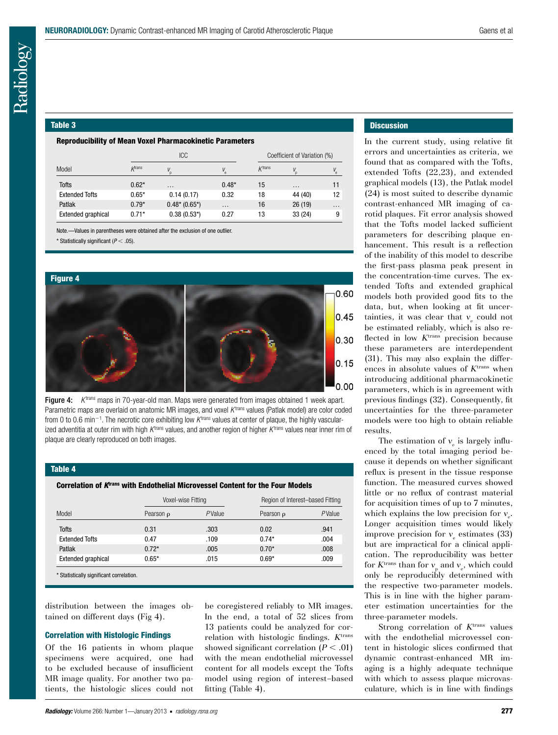#### Table 3

#### Reproducibility of Mean Voxel Pharmacokinetic Parameters

|                           |                | <b>ICC</b>     |          |           | Coefficient of Variation (%) |             |  |
|---------------------------|----------------|----------------|----------|-----------|------------------------------|-------------|--|
| Model                     | <b>K</b> trans |                | V        | $K$ trans | V                            | $V_{\rm e}$ |  |
| <b>Tofts</b>              | $0.62*$        | $\cdots$       | $0.48*$  | 15        | $\cdots$                     | 11          |  |
| <b>Extended Tofts</b>     | $0.65*$        | 0.14(0.17)     | 0.32     | 18        | 44 (40)                      | 12          |  |
| Patlak                    | $0.79*$        | $0.48*(0.65*)$ | $\cdots$ | 16        | 26(19)                       | $\cdots$    |  |
| <b>Extended graphical</b> | $0.71*$        | $0.38(0.53*)$  | 0.27     | 13        | 33(24)                       | 9           |  |

Note.—Values in parentheses were obtained after the exclusion of one outlier.

 $*$  Statistically significant ( $P < .05$ ).



Figure 4: *K*<sup>trans</sup> maps in 70-year-old man. Maps were generated from images obtained 1 week apart. Parametric maps are overlaid on anatomic MR images, and voxel K<sup>trans</sup> values (Patlak model) are color coded from 0 to 0.6 min<sup>-1</sup>. The necrotic core exhibiting low *K*<sup>trans</sup> values at center of plaque, the highly vascularized adventitia at outer rim with high *K*trans values, and another region of higher *K* trans values near inner rim of plaque are clearly reproduced on both images.

#### Table 4

Correlation of *K*trans with Endothelial Microvessel Content for the Four Models

|                                          | Voxel-wise Fitting |        | Region of Interest-based Fitting |        |  |
|------------------------------------------|--------------------|--------|----------------------------------|--------|--|
| Model                                    | Pearson $\rho$     | PValue | Pearson $\rho$                   | PValue |  |
| <b>Tofts</b>                             | 0.31               | .303   | 0.02                             | .941   |  |
| <b>Extended Tofts</b>                    | 0.47               | .109   | $0.74*$                          | .004   |  |
| Patlak                                   | $0.72*$            | .005   | $0.70*$                          | .008   |  |
| Extended graphical                       | $0.65*$            | .015   | $0.69*$                          | .009   |  |
| * Statistically significant correlation. |                    |        |                                  |        |  |

distribution between the images obtained on different days (Fig 4).

#### Correlation with Histologic Findings

Of the 16 patients in whom plaque specimens were acquired, one had to be excluded because of insufficient MR image quality. For another two patients, the histologic slices could not be coregistered reliably to MR images. In the end, a total of 52 slices from 13 patients could be analyzed for correlation with histologic findings. *K*trans showed significant correlation  $(P < .01)$ with the mean endothelial microvessel content for all models except the Tofts model using region of interest–based fitting (Table 4).

# **Discussion**

In the current study, using relative fit errors and uncertainties as criteria, we found that as compared with the Tofts, extended Tofts (22,23), and extended graphical models (13), the Patlak model (24) is most suited to describe dynamic contrast-enhanced MR imaging of carotid plaques. Fit error analysis showed that the Tofts model lacked sufficient parameters for describing plaque enhancement. This result is a reflection of the inability of this model to describe the first-pass plasma peak present in the concentration-time curves. The extended Tofts and extended graphical models both provided good fits to the data, but, when looking at fit uncertainties, it was clear that  $v_{\rm e}$  could not be estimated reliably, which is also reflected in low *K*trans precision because these parameters are interdependent (31). This may also explain the differences in absolute values of *K*trans when introducing additional pharmacokinetic parameters, which is in agreement with previous findings (32). Consequently, fit uncertainties for the three-parameter models were too high to obtain reliable results.

The estimation of  $v_e$  is largely influenced by the total imaging period because it depends on whether significant reflux is present in the tissue response function. The measured curves showed little or no reflux of contrast material for acquisition times of up to 7 minutes, which explains the low precision for  $v_e$ . Longer acquisition times would likely improve precision for  $v_{\rm e}$  estimates (33) but are impractical for a clinical application. The reproducibility was better for  $K^{\text{trans}}$  than for  $v_{\text{p}}$  and  $v_{\text{e}}$ , which could only be reproducibly determined with the respective two-parameter models. This is in line with the higher parameter estimation uncertainties for the three-parameter models.

Strong correlation of K<sup>trans</sup> values with the endothelial microvessel content in histologic slices confirmed that dynamic contrast-enhanced MR imaging is a highly adequate technique with which to assess plaque microvasculature, which is in line with findings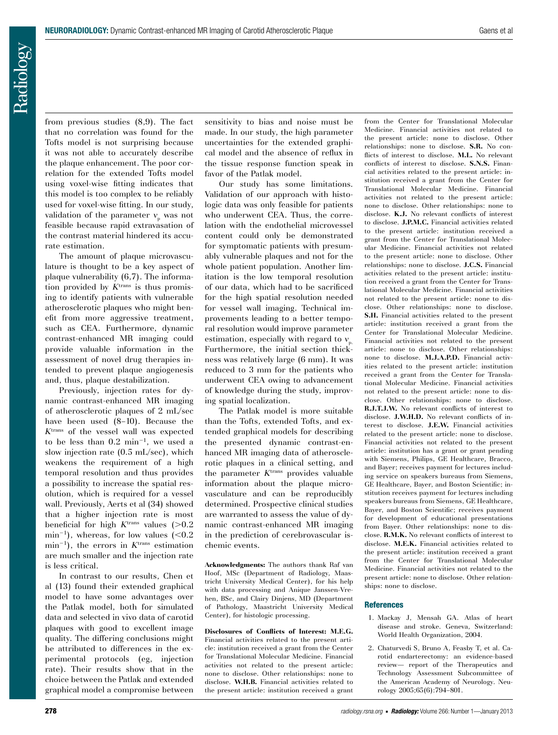Radiology

from previous studies (8,9). The fact that no correlation was found for the Tofts model is not surprising because it was not able to accurately describe the plaque enhancement. The poor correlation for the extended Tofts model using voxel-wise fitting indicates that this model is too complex to be reliably used for voxel-wise fitting. In our study, validation of the parameter  $v_p$  was not feasible because rapid extravasation of the contrast material hindered its accurate estimation.

The amount of plaque microvasculature is thought to be a key aspect of plaque vulnerability (6,7). The information provided by *K*trans is thus promising to identify patients with vulnerable atherosclerotic plaques who might benefit from more aggressive treatment, such as CEA. Furthermore, dynamic contrast-enhanced MR imaging could provide valuable information in the assessment of novel drug therapies intended to prevent plaque angiogenesis and, thus, plaque destabilization.

Previously, injection rates for dynamic contrast-enhanced MR imaging of atherosclerotic plaques of 2 mL/sec have been used (8–10). Because the *K*trans of the vessel wall was expected to be less than  $0.2 \text{ min}^{-1}$ , we used a slow injection rate (0.5 mL/sec), which weakens the requirement of a high temporal resolution and thus provides a possibility to increase the spatial resolution, which is required for a vessel wall. Previously, Aerts et al (34) showed that a higher injection rate is most beneficial for high  $K<sup>trans</sup>$  values ( $>0.2$ )  $min^{-1}$ ), whereas, for low values (<0.2)  $min^{-1}$ , the errors in  $K<sup>trans</sup>$  estimation are much smaller and the injection rate is less critical.

In contrast to our results, Chen et al (13) found their extended graphical model to have some advantages over the Patlak model, both for simulated data and selected in vivo data of carotid plaques with good to excellent image quality. The differing conclusions might be attributed to differences in the experimental protocols (eg, injection rate). Their results show that in the choice between the Patlak and extended graphical model a compromise between sensitivity to bias and noise must be made. In our study, the high parameter uncertainties for the extended graphical model and the absence of reflux in the tissue response function speak in favor of the Patlak model.

Our study has some limitations. Validation of our approach with histologic data was only feasible for patients who underwent CEA. Thus, the correlation with the endothelial microvessel content could only be demonstrated for symptomatic patients with presumably vulnerable plaques and not for the whole patient population. Another limitation is the low temporal resolution of our data, which had to be sacrificed for the high spatial resolution needed for vessel wall imaging. Technical improvements leading to a better temporal resolution would improve parameter estimation, especially with regard to  $v_p$ . Furthermore, the initial section thickness was relatively large (6 mm). It was reduced to 3 mm for the patients who underwent CEA owing to advancement of knowledge during the study, improving spatial localization.

The Patlak model is more suitable than the Tofts, extended Tofts, and extended graphical models for describing the presented dynamic contrast-enhanced MR imaging data of atherosclerotic plaques in a clinical setting, and the parameter *K*trans provides valuable information about the plaque microvasculature and can be reproducibly determined. Prospective clinical studies are warranted to assess the value of dynamic contrast-enhanced MR imaging in the prediction of cerebrovascular ischemic events.

**Acknowledgments:** The authors thank Raf van Hoof, MSc (Department of Radiology, Maastricht University Medical Center), for his help with data processing and Anique Janssen-Vrehen, BSc, and Clairy Dinjens, MD (Department of Pathology, Maastricht University Medical Center), for histologic processing.

**Disclosures of Conflicts of Interest: M.E.G.** Financial activities related to the present article: institution received a grant from the Center for Translational Molecular Medicine. Financial activities not related to the present article: none to disclose. Other relationships: none to disclose. **W.H.B.** Financial activities related to the present article: institution received a grant from the Center for Translational Molecular Medicine. Financial activities not related to the present article: none to disclose. Other relationships: none to disclose. **S.R.** No conflicts of interest to disclose. **M.L.** No relevant conflicts of interest to disclose. **S.N.S.** Financial activities related to the present article: institution received a grant from the Center for Translational Molecular Medicine. Financial activities not related to the present article: none to disclose. Other relationships: none to disclose. **K.J.** No relevant conflicts of interest to disclose. **J.P.M.C.** Financial activities related to the present article: institution received a grant from the Center for Translational Molecular Medicine. Financial activities not related to the present article: none to disclose. Other relationships: none to disclose. **J.C.S.** Financial activities related to the present article: institution received a grant from the Center for Translational Molecular Medicine. Financial activities not related to the present article: none to disclose. Other relationships: none to disclose. **S.H.** Financial activities related to the present article: institution received a grant from the Center for Translational Molecular Medicine. Financial activities not related to the present article: none to disclose. Other relationships: none to disclose. **M.J.A.P.D.** Financial activities related to the present article: institution received a grant from the Center for Translational Molecular Medicine. Financial activities not related to the present article: none to disclose. Other relationships: none to disclose. **R.J.T.J.W.** No relevant conflicts of interest to disclose. **J.W.H.D.** No relevant conflicts of interest to disclose. **J.E.W.** Financial activities related to the present article: none to disclose. Financial activities not related to the present article: institution has a grant or grant pending with Siemens, Philips, GE Healthcare, Bracco, and Bayer; receives payment for lectures including service on speakers bureaus from Siemens, GE Healthcare, Bayer, and Boston Scientific; institution receives payment for lectures including speakers bureaus from Siemens, GE Healthcare, Bayer, and Boston Scientific; receives payment for development of educational presentations from Bayer. Other relationships: none to disclose. **R.M.K.** No relevant conflicts of interest to disclose. **M.E.K.** Financial activities related to the present article: institution received a grant from the Center for Translational Molecular Medicine. Financial activities not related to the present article: none to disclose. Other relationships: none to disclose.

# **References**

- 1. Mackay J, Mensah GA. Atlas of heart disease and stroke. Geneva, Switzerland: World Health Organization, 2004.
- 2. Chaturvedi S, Bruno A, Feasby T, et al. Carotid endarterectomy: an evidence-based review— report of the Therapeutics and Technology Assessment Subcommittee of the American Academy of Neurology. Neurology 2005;65(6):794–801.